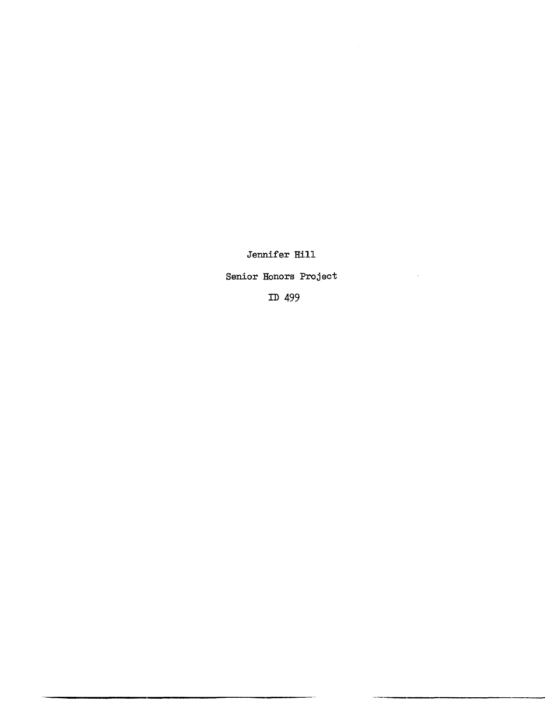Jennifer **Hill** 

Senior Honors Project

ID 499

 $\sim 10^7$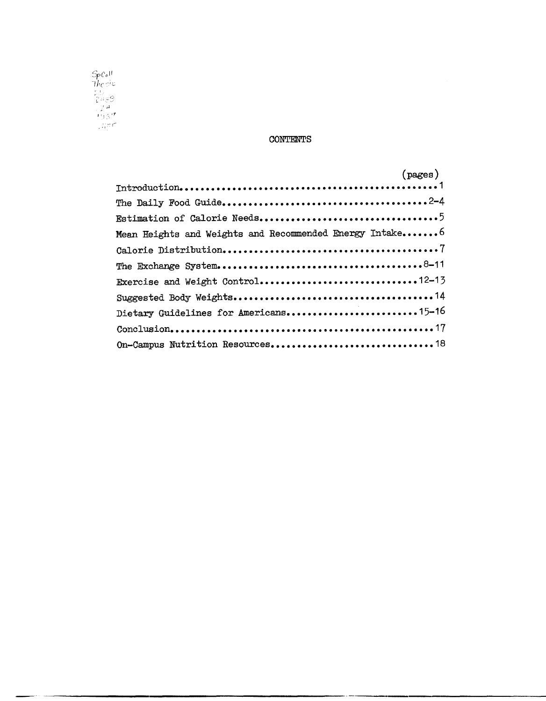

# CONTENTS

|                                                         | $(\text{pages})$ |
|---------------------------------------------------------|------------------|
|                                                         |                  |
|                                                         |                  |
|                                                         |                  |
| Mean Heights and Weights and Recommended Energy Intake6 |                  |
|                                                         |                  |
|                                                         |                  |
| Exercise and Weight Control12-13                        |                  |
|                                                         |                  |
| Dietary Guidelines for Americans15-16                   |                  |
|                                                         |                  |
|                                                         |                  |
|                                                         |                  |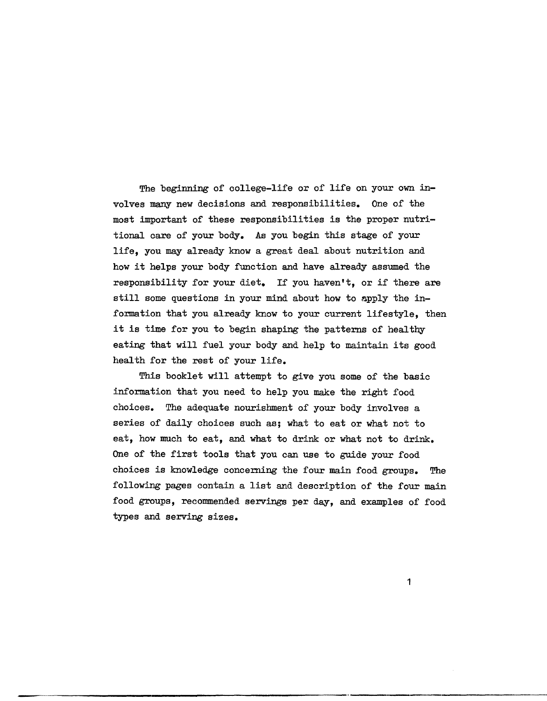The beginning of college-life or of life on your own involves many new decisions and responsibilities. One of the most important of these responsibilities is the proper nutritional care of your body. As you begin this stage of your life, you may already know a great deal about nutrition and how it helps your body function and have already assumed the responsibility for your diet. If you haven't, or if there are still some questions in your mind about how to apply the information that you already know to your current lifestyle, then it is time for you to begin shaping the patterns of healthy eating that will fuel your body and help to maintain its good health for the rest of your life.

This booklet will attempt to give you some of the basic information that you need to help you make the right food choices. The adequate nourishment of your body involves a series of daily choices such as; what to eat or what not to eat, how much to eat, and what to drink or what not to drink. One of the first tools that you can use to guide your food choices is knowledge concerning the four main food groups. The following pages contain a list and description of the four main food groups, recommended servings per day, and examples of food types and serving sizes.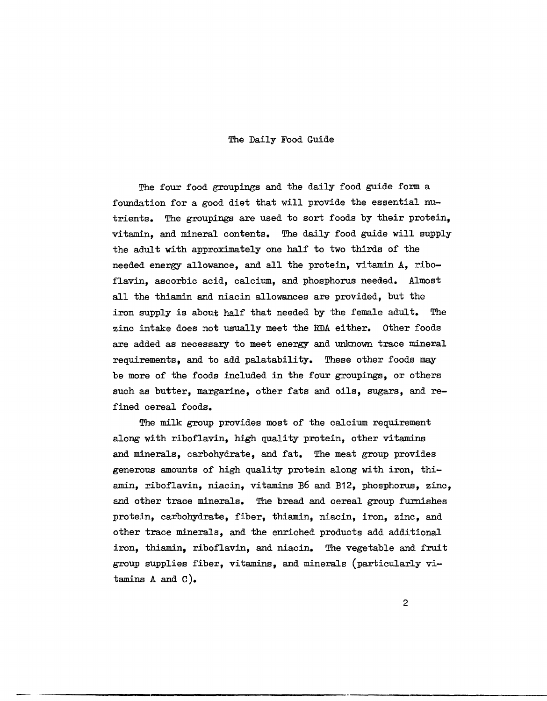#### The Daily Food Guide

The four food groupings and the daily food guide form a foundation for a good diet that will provide the essential nutrients. The groupings are used to sort foods by their protein, vitamin, and mineral contents. The daily food guide will supply the adult with approximately one half to two thirds of the needed energy allowance, and all the protein, vitamin A, riboflavin, ascorbic acid, calcium, and phosphorus needed. Almost all the thiamin and niacin allowances are provided, but the iron supply is about half that needed by the female adult. The zinc intake does not usually meet the RDA either. Other foods are added as necessary to meet energy and unknown trace mineral requirements, and to add palatability. These other foods may be more of the foods included in the four groupings, or others such as butter, margarine, other fats and oils, sugars, and refined cereal foods.

The milk group provides most of the calcium requirement along with riboflavin, high quality protein, other vitamins and minerals, carbohydrate, and fat. The meat group provides generous amounts of high quality protein along with iron, thiamin, riboflavin, niacin, vitamins B6 and B12, phosphorus, zinc, and other trace minerals. The bread and cereal group furnishes protein, carbohydrate, fiber, thiamin, niacin, iron, zinc, and other trace minerals, and the enriched products add additional iron, thiamin, riboflavin, and niacin. The vegetable and fruit group supplies fiber, vitamins, and minerals (particularly vitamins A and C).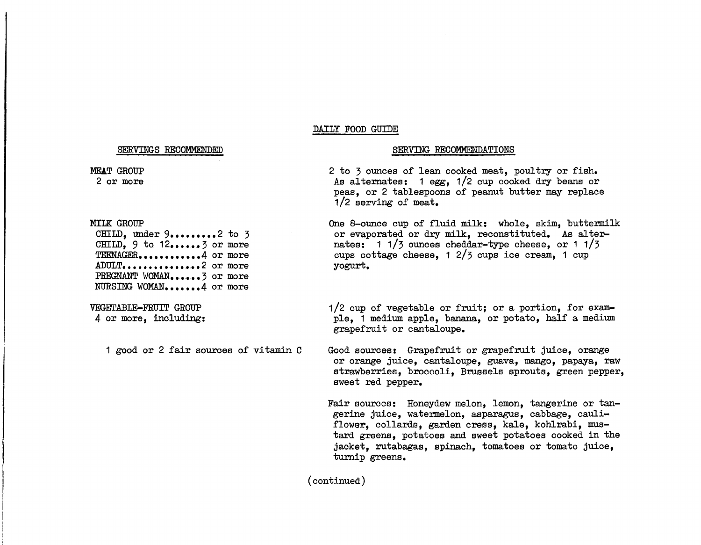### DAILY FOOD GUIDE

#### SERVINGS RECOMMENDED

#### MEAT GROUP 2 or more

**MILK GROUP** 

CHILD. under  $9... \dots 2$  to 3  $CHILD. 9 to 12......3 or more$ **TEENAGER •••••••••••• 4** or more ADULT.................2 or more PREGNANT WOMAN......3 or more NURSING WOMAN.......4 or more

VEGETABLE-FRUIT GROUP 4 or more, including:

1 good or 2 fair sources of vitamin C

#### SERVING RECOMMENDATIONS

2 to 3 ounces of lean cooked meat, poultry or fish. As alternates: 1 egg, 1/2 cup cooked dry beans or peas, or 2 tablespoons of peanut butter may replace 1/2 serving of meat.

One 8-ounce cup of fluid milk: whole, skim, buttermilk or evaporated or dry milk, reconstituted. As alternates: 1 1/3 ounces cheddar-type cheese, or 1 1/3 cups cottage cheese, 1 2/3 cups ice cream, 1 cup yogurt.

1/2 cup of vegetable or fruit; or a portion, for example, 1 medium apple, banana, or potato, half a medium grapefruit or cantaloupe.

Good sources: Grapefruit or grapefruit juice, orange or orange juice, cantaloupe, guava, mango, papaya, raw strawberries, broccoli, Brussels sprouts, green pepper, sweet red pepper.

Fair sources: Honeydew melon, lemon, tangerine or tangerine juice, watermelon, asparagus, cabbage, cauliflower, collards, garden cress, kale, kohlrabi, mustard greens, potatoes and sweet potatoes cooked in the jacket, rutabagas, spinach, tomatoes or tomato juice, turnip greens.

(continued)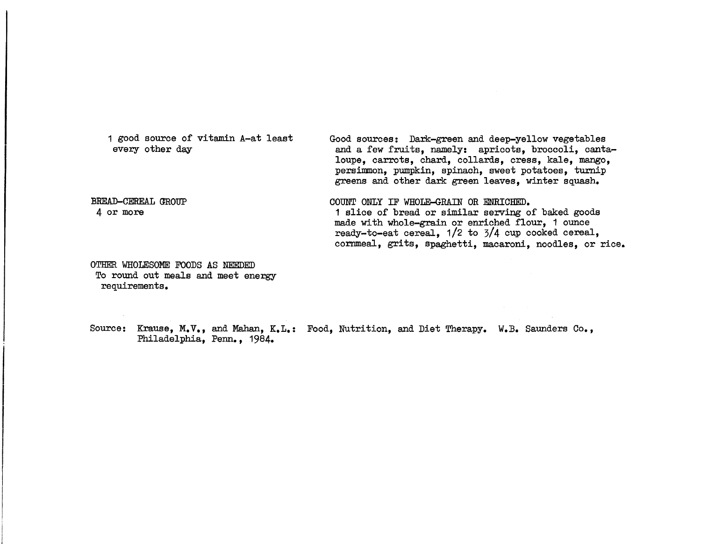1 good source of vitamin A-at least every other day BREAD-CEREAL GROUP 4 or more Good sources: Dark-green and deep-yellow vegetables and a few fruits, namely: apricots, broccoli, cantaloupe, carrots, chard, collards, cress, kale, mango, persimmon, pumpkin, spinach, sweet potatoes, turnip greens and other dark green leaves, winter squash. COUNT ONLY IF WHOLE-GRAIN OR ENRICHED. 1 slice of bread or similar serving of baked goods made with whole-grain or enriched flour, 1 ounce ready-to-eat cereal, 1/2 to 3/4 cup cooked cereal,

cornmeal, grits, spaghetti, macaroni, noodles, or rice.

OTHER WHOLESOME FOODS AS NEEDED To round out meals and meet energy requirements.

Source: Krause, M. *V.*, and Mahan, K.L.: Food, Nutrition, and Diet Therapy. W.B. Saunders Co., Philadelphia, Penn., 1984.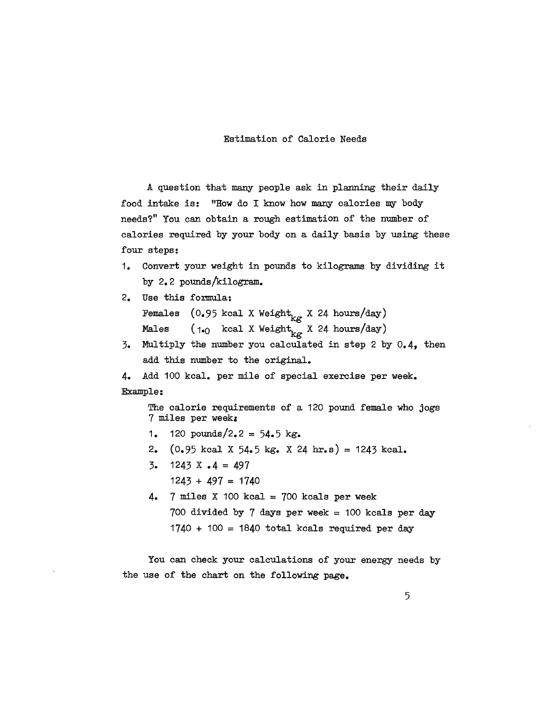# Estimation of Calorie Needs

A question that many people ask in planning their daily food intake is: "How do I know how many calories my body needs'?" You can obtain a rough estimation of the number of calories required by your body on a daily basis by using these four steps:

- 1. Convert your weight in pounds to kilograms by dividing it by 2.2 pounds/kilogram.
- 2. Use this formula: Females  $(0.95 \text{ kcal X Weight}_{kg} \times 24 \text{ hours/day})$ Males  $(1-0 \text{ kcal } X \text{ Weight}_{kg} X 24 \text{ hours/day})$
- 3. MUltiply the number you calculated in step 2 by 0.4, then add this number to the original.

```
4. Add 100 kcal. per mile of special exercise per week. 
Example:
```
The calorie requirements of a 120 pound female who jogs 7 miles per week:

- 1. 120 pounds/2.2 =  $54.5 \text{ kg}$ .
- 2.  $(0.95 \text{ kcal X } 54.5 \text{ kg. X } 24 \text{ hr. s}) = 1243 \text{ kcal.}$
- 3. 1243 X .4 = 497  $1243 + 497 = 1740$
- 4.  $7$  miles X 100 kcal = 700 kcals per week 700 divided by 7 days per week =  $100$  kcals per day  $1740 + 100 = 1840$  total kcals required per day

You can check your calculations of your energy needs by the use of the chart on the following page.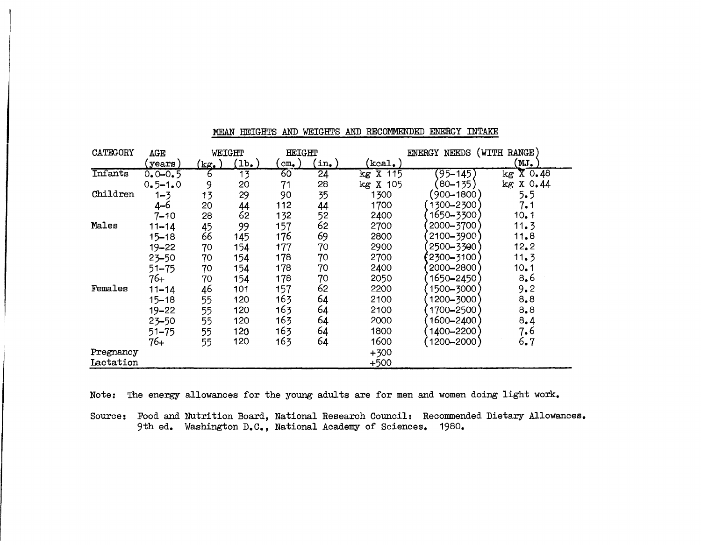| CATEGORY  | AGE         |                  | WEIGHT           | <b>HEIGHT</b>  |                 | ENERGY NEEDS (WITH RANGE)       |               |                        |
|-----------|-------------|------------------|------------------|----------------|-----------------|---------------------------------|---------------|------------------------|
|           | (years)     | $(kg_{\bullet})$ | $(1b_{\bullet})$ | $cm_{\bullet}$ | $\mathsf{in.}$  | $\left( \mathrm{kcal}\right)$ . |               | (MJ.                   |
| Infants   | $0.0 - 0.5$ | 6                | $\overline{13}$  | 60             | $\overline{24}$ | kg X 115                        | $(95 - 145)$  | $kg \overline{X}$ 0.48 |
|           | $0.5 - 1.0$ | 9                | 20               | 71             | 28              | X 105<br>kg                     | $(80 - 135)$  | X 0.44<br>kg           |
| Children  | $1 - 3$     | 13               | 29               | 90             | 35              | 1300                            | (900–1800)    | 5.5                    |
|           | $4 - 6$     | 20               | 44               | 112            | 44              | 1700                            | 1300-2300     | 7.1                    |
|           | $7 - 10$    | 28               | 62               | 132            | 52              | 2400                            | 1650-3300     | 10.1                   |
| Males     | $11 - 14$   | 45               | 99               | 157            | 62              | 2700                            | 2000-3700     | 11.3                   |
|           | $15 - 18$   | 66               | 145              | 176            | 69              | 2800                            | 2100-3900     | 11.8                   |
|           | $19 - 22$   | 70               | 154              | 177            | 70              | 2900                            | 2500-3300     | 12.2                   |
|           | $23 - 50$   | 70               | 154              | 178            | 70              | 2700                            | $2300 - 3100$ | 11.3                   |
|           | 51–75       | 70               | 154              | 178            | 70              | 2400                            | 2000-2800     | 10.1                   |
|           | $76+$       | 70               | 154              | 178            | 70              | 2050                            | 1650-2450     | 8,6                    |
| Females   | $11 - 14$   | 46               | 101              | 157            | 62              | 2200                            | 1500-3000     | 9.2                    |
|           | $15 - 18$   | 55               | 120              | 163            | 64              | 2100                            | 1200-3000     | 8,8                    |
|           | $19 - 22$   | 55               | 120              | 163            | 64              | 2100                            | 1700-2500     | 8,8                    |
|           | $23 - 50$   | 55               | 120              | 163            | 64              | 2000                            | 1600-2400     | 8.4                    |
|           | $51 - 75$   | 55               | 120              | 163            | 64              | 1800                            | 1400-2200     | 7.6                    |
|           | $76+$       | 55               | 120              | 163            | 64              | 1600                            | 1200-2000)    | 6.7                    |
| Pregnancy |             |                  |                  |                |                 | $+300$                          |               |                        |
| Lactation |             |                  |                  |                |                 | $+500$                          |               |                        |

# MEAN HEIGHTS AND WEIGHTS AND RECOMMENDED ENERGY INTAKE

Note: The energy allowances for the young adults are for men and women doing light work.

Source: Food and Nutrition Board, National Research Council: Recommended Dietary Allowances. 9th ed. Washington D.C., National Academy of Sciences. 1980.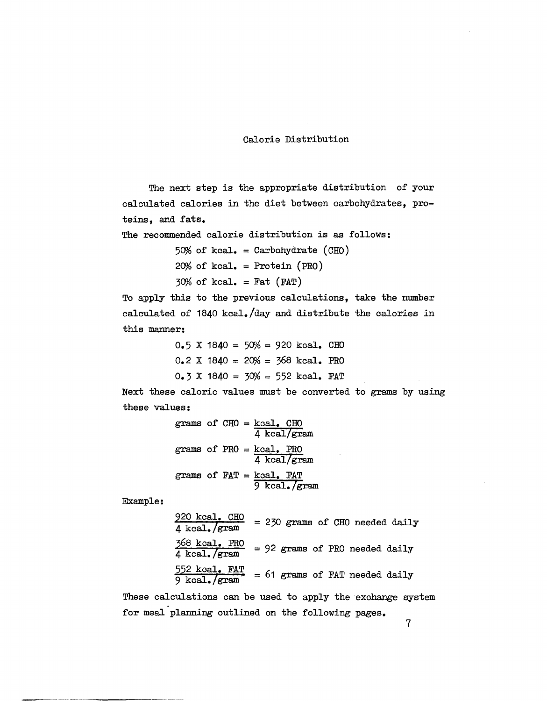## Calorie Distribution

The next step is the appropriate distribution of your calculated calories in the diet between carbohydrates, proteins, and fats.

The recommended calorie distribution is as follows:

 $50%~of~kcal. = Carbohydrate~(CHO)$  $20%~of~kcal. = Protein~(PRO)$  $30%~of~kcal. = Fat~(FAT)$ 

To apply this to the previous calculations, take the number calculated of 1840 kcal./day and distribute the calories in this manner:

|  |  |  | $0.5$ X 1840 = 50% = 920 kcal. CHO    |  |
|--|--|--|---------------------------------------|--|
|  |  |  | $0.2$ X 1840 = 20% = 368 kcal. PRO    |  |
|  |  |  | $0.3$ X 1840 = $30\%$ = 552 kcal. FAT |  |

Next these caloric values must be converted to grams by using these values:

|  |  | grams of $CHO = kcal$ . $CHO$ | 4 kcal/gram   |
|--|--|-------------------------------|---------------|
|  |  | grams of $PRO$ = $kcal$ . PRO | $4$ kcal/gram |
|  |  | grams of $FAT = kca1$ . $FAT$ | 9 kcal. /gram |

Example:

 $\frac{920 \text{ kcal. } \text{CHO}}{4 \text{ kcal. } \text{/gram}}$  = 230 grams of CHO needed daily  $\frac{368 \text{ kcal. PRO}}{4 \text{ kcal.}/\text{gram}}$  = 92 grams of PRO needed daily  $552$  kcal.  $FAT$  = 61 grams of FAT needed daily<br>9 kcal./gram

These calculations can be used to apply the exchange system for meal planning outlined on the following pages.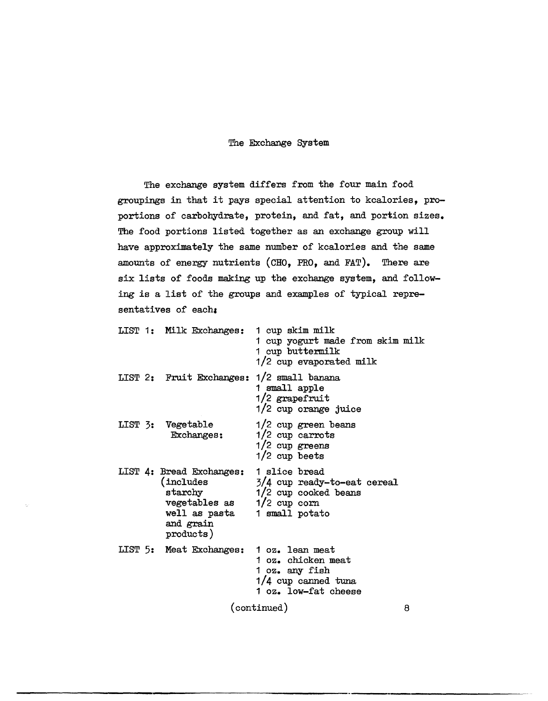## The Exchange System

The exchange system differs from the four main food groupings in that it pays special attention to kcalories, proportions of carbohydrate, protein, and fat, and portion sizes. The food portions listed together as an exchange group will have approximately the same number of kcalories and the same amounts of energy nutrients (CHO, PRO, and FAT). There are six lists of foods making up the exchange system, and following is a list of the groups and examples of typical representatives of each:

|             |  | LIST 1: Milk Exchanges: 1 cup skim milk                                                                                                    | 1 cup yogurt made from skim milk<br>1 cup buttermilk<br>1/2 cup evaporated milk       |   |
|-------------|--|--------------------------------------------------------------------------------------------------------------------------------------------|---------------------------------------------------------------------------------------|---|
|             |  | LIST 2: Fruit Exchanges: 1/2 small banana                                                                                                  | 1 small apple<br>1/2 grapefruit<br>1/2 cup orange juice                               |   |
|             |  | LIST 3: Vegetable<br>Exchanges:                                                                                                            | $1/2$ cup green beans<br>$1/2$ cup carrots<br>$1/2$ cup greens<br>1/2 cup beets       |   |
|             |  | LIST 4: Bread Exchanges:<br>(includes<br>starchy<br>vegetables as $1/2$ cup corn<br>well as pasta 1 small potato<br>and grain<br>products) | 1 slice bread<br>$3/4$ cup ready-to-eat cereal<br>1/2 cup cooked beans                |   |
|             |  | LIST 5: Meat Exchanges: 1 oz. lean meat                                                                                                    | 1 oz. chicken meat<br>1 oz. any fish<br>$1/4$ cup canned tuna<br>1 oz. low-fat cheese |   |
| (continued) |  |                                                                                                                                            |                                                                                       | 8 |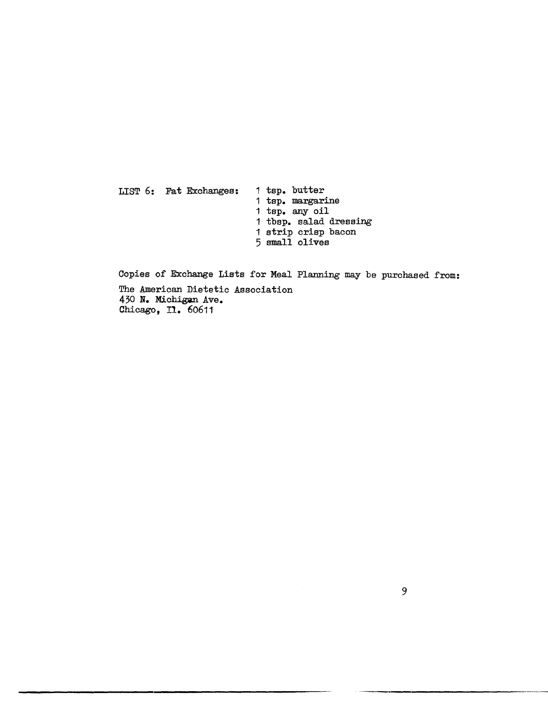LIST 6: Fat Exchanges: 1 tsp. butter 1 tsp. margarine <sup>1</sup>tsp. any oil 1 tbsp. salad dressing 1 strip crisp bacon 5 small olives

Copies of Exchange Lists for Meal Planning may be purchased from: The American Dietetic Association 430 N. Michigan Ave. Chicago, I1. 60611

-----,----------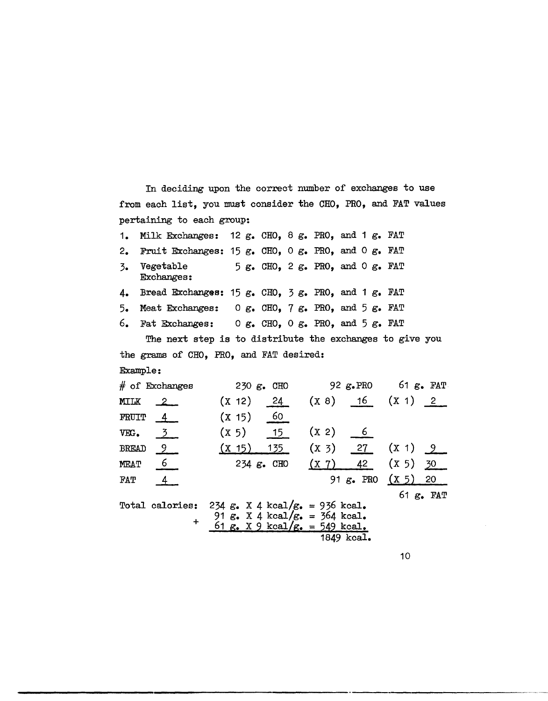In deciding upon the correct number of exchanges to use from each list, you must consider the CHO, PRO, and FAT values pertaining to each group:

| 1.            | Milk Exchanges: 12 g. CHO, 8 g. PRO, and 1 g. FAT                 |                                                                       |            |  |                                                                 |                                           |  |
|---------------|-------------------------------------------------------------------|-----------------------------------------------------------------------|------------|--|-----------------------------------------------------------------|-------------------------------------------|--|
| $2_{\bullet}$ | Fruit Exchanges: $15 g_e$ . CHO, 0 g. PRO, and 0 g. FAT           |                                                                       |            |  |                                                                 |                                           |  |
| 3.            | Vegetable<br>Exchanges:                                           |                                                                       |            |  | $5 \text{ g. }$ CHO, 2 $\text{g. }$ PRO, and 0 $\text{g. }$ FAT |                                           |  |
| 4.            | Bread Exchanges: 15 $g_e$ . CHO, 3 $g_e$ . PRO, and 1 $g_e$ . FAT |                                                                       |            |  |                                                                 |                                           |  |
|               | 5. Meat Exchanges: $0 g$ . CHO, 7 $g$ . PRO, and 5 $g$ . FAT      |                                                                       |            |  |                                                                 |                                           |  |
|               | 6. Fat Exchanges: $0 g$ . CHO, $0 g$ . PRO, and $5 g$ . FAT       |                                                                       |            |  |                                                                 |                                           |  |
|               | The next step is to distribute the exchanges to give you          |                                                                       |            |  |                                                                 |                                           |  |
|               | the grams of CHO, PRO, and FAT desired:                           |                                                                       |            |  |                                                                 |                                           |  |
|               | Example:                                                          |                                                                       |            |  |                                                                 |                                           |  |
|               | $#$ of Exchanges                                                  |                                                                       | 230 g. CHO |  |                                                                 | 92 $g_{\bullet}$ PRO 61 $g_{\bullet}$ FAT |  |
| MILK          | $\sim$ 2                                                          | (X 12) 24                                                             |            |  |                                                                 | $(X 8)$ 16 $(X 1)$ 2                      |  |
|               | FRUIT $4$                                                         | (X 15) 60                                                             |            |  |                                                                 |                                           |  |
| VEG.          | $\overline{3}$                                                    | $(X 5)$ 15                                                            |            |  | $(X 2)$ 6                                                       |                                           |  |
|               | BREAD <sub>9</sub>                                                | (X 15) 135                                                            |            |  |                                                                 | $(X 3)$ 27 $(X 1) 9$                      |  |
| <b>MEAT</b>   | $\overline{6}$                                                    |                                                                       | 234 g. CHO |  | (X 7) 42                                                        | (X 5) 30                                  |  |
| FAT           | $\overline{4}$                                                    |                                                                       |            |  |                                                                 | 91 $g_e$ PRO $(X 5)$ 20                   |  |
|               |                                                                   |                                                                       |            |  |                                                                 | 61 $g_{\bullet}$ FAT                      |  |
|               | Total calories: 234 g. X 4 kcal/g. = 936 kcal.                    |                                                                       |            |  |                                                                 |                                           |  |
|               | $+$                                                               | 91 $g$ . X 4 kcal/ $g$ . = 364 kcal.<br>61 g. X 9 kcal/g. = 549 kcal. |            |  |                                                                 |                                           |  |
|               |                                                                   |                                                                       |            |  | 1849 kcal.                                                      |                                           |  |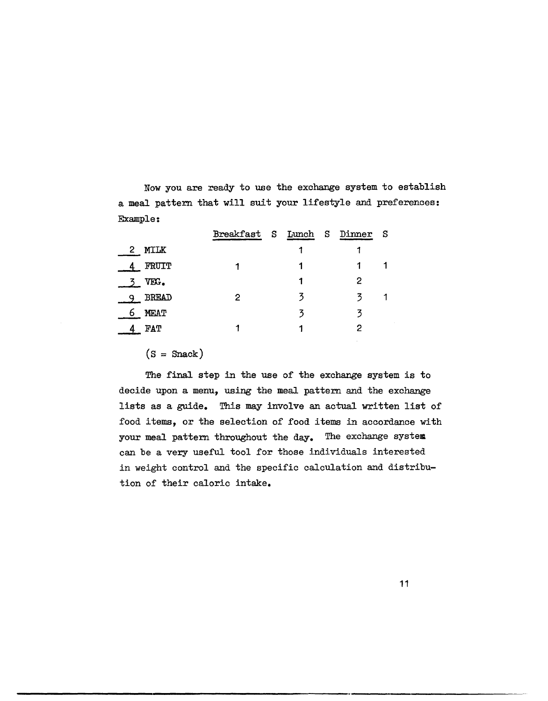Now you are ready to use the exchange system to establish a meal pattern that will suit your lifestyle and preferences: Example:

|                             | Breakfast S Lunch S |   | Dinner S |  |
|-----------------------------|---------------------|---|----------|--|
| <b>MILK</b><br>$\mathbf{2}$ |                     |   |          |  |
| FRUIT                       |                     |   |          |  |
| VEG.                        |                     |   | 2        |  |
| <b>BREAD</b>                | 2                   | 3 | 3        |  |
| <b>MEAT</b><br>0            |                     | 3 |          |  |
| FAT                         |                     |   |          |  |

 $(S = \text{Snack})$ 

The final step in the use of the exchange system is to decide upon a menu, using the meal pattern and the exchange lists as a guide. This may involve an actual written list of food items, or the selection of food items in accordance with your meal pattern throughout the day. The exchange system can be a very useful tool for those individuals interested in weight control and the specific calculation and distribution of their caloric intake.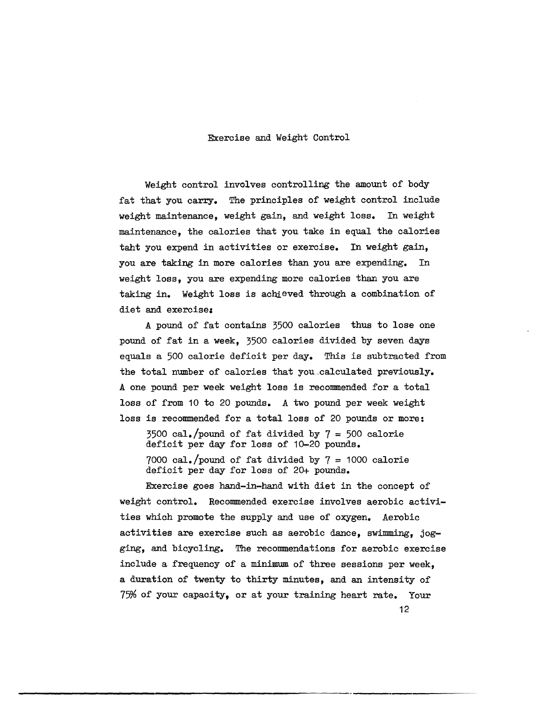#### Exercise and Weight Control

Weight control involves controlling the amount of body fat that you carry. The principles of weight control include weight maintenance, weight gain, and weight loss. In weight maintenance, the calories that you take in equal the calories taht you expend in activities or exercise. In weight gain, you are taking in more calories than you are expending. In weight loss, you are expending more calories than you are taking in. Weight loss is achieved through a combination of diet and exercise:

A pound of fat contains 3500 calories thus to lose one pound of fat in a week, 3500 calories divided by seven days equals a 500 calorie deficit per day. This is subtracted from the total number of calories that you\_calculated previously. A one pound per week weight loss is recommended for a total loss of from 10 to 20 pounds. A two pound per week weight loss is recommended for a total loss of 20 pounds or more:

 $3500 \text{ cal.}$ /pound of fat divided by  $7 = 500 \text{ calorie}$ deficit per day for loss of 10-20 pounds. 7000 cal./pound of fat divided by  $7 = 1000$  calorie deficit per day for loss of 20+ pounds.

Exercise goes hand-in-hand with diet in the concept of weight control. Recommended exercise involves aerobic activities which promote the supply and use of oxygen. Aerobic activities are exercise such as aerobic dance, swimming, jogging, and bicycling. The recommendations for aerobic exercise include a frequency of a minimum of three sessions per week, a duration of twenty to thirty minutes, and an intensity of 75% of your capacity, or at your training heart rate. Your 12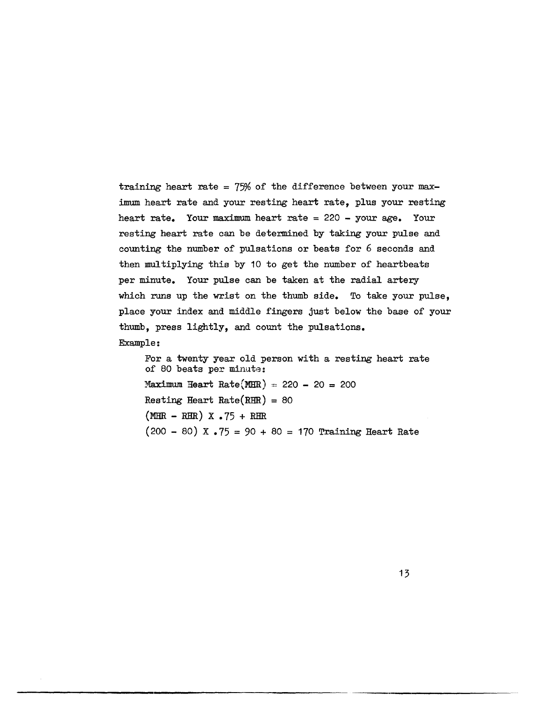training heart rate =  $75%$  of the difference between your maximum heart rate and your resting heart rate, plus your resting heart rate. Your maximum heart rate = 220 - your age. Your resting heart rate can be determined by taking your pulse and counting the number of pulsations or beats for 6 seconds and then multiplying this by 10 to get the number of heartbeats per minute. Your pulse can be taken at the radial artery which runs up the wrist on the thumb side. To take your pulse, place your index and middle fingers just below the base of your thumb, press lightly, and count the pulsations.

Example:

For a twenty year old person with a resting heart rate of 80 beats per minute: Maximum Heart Rate(MHR) =: 220 - 20 = 200 Resting Heart Rate(RHR) = 80  $(MHR - RHR)$  X .75 + RHR  $(200 - 80)$  X.75 = 90 + 80 = 170 Training Heart Rate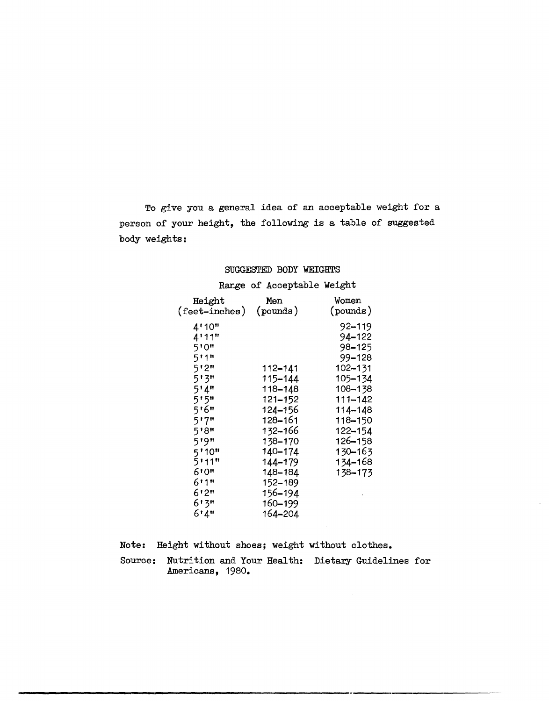To give you a general idea of an acceptable weight for a person of your height, the following is a table of suggested body weights:

## SUGGESTED BODY WEIGHTS

# Range of Acceptable Weight

| Height                          | Men         | Women    |
|---------------------------------|-------------|----------|
| $(\text{feet} - \text{inches})$ | (pounds)    | (pounds) |
| 4'10"                           |             | 92–119   |
| 4!11"                           |             | 94–122   |
| 5'0"                            |             | 98–125   |
| 5!1"                            |             | 99–128   |
| 5'2"                            | 112–141     | 102-131  |
| 5'3"                            | 115-144     | 105-134  |
| 5'4''                           | 118-148     | 108-138  |
| 5'5"                            | $121 - 152$ | 111-142  |
| 516"                            | 124-156     | 114-148  |
| 517"                            | 128–161     | 118-150  |
| 5'8"                            | 132-166     | 122-154  |
| 519"                            | 138-170     | 126-158  |
| 5'10"                           | 140-174     | 130-163  |
| 5111"                           | 144-179     | 134-168  |
| 610"                            | 148-184     | 138-173  |
| 6!1"                            | 152-189     |          |
| 6'2"                            | 156-194     |          |
| 6131                            | 160-199     |          |
| 6'4''                           | 164-204     |          |
|                                 |             |          |

Note: Height without shoes; weight without clothes.

Source: Nutrition and Your Health: Dietary Guidelines for Americans, 1980.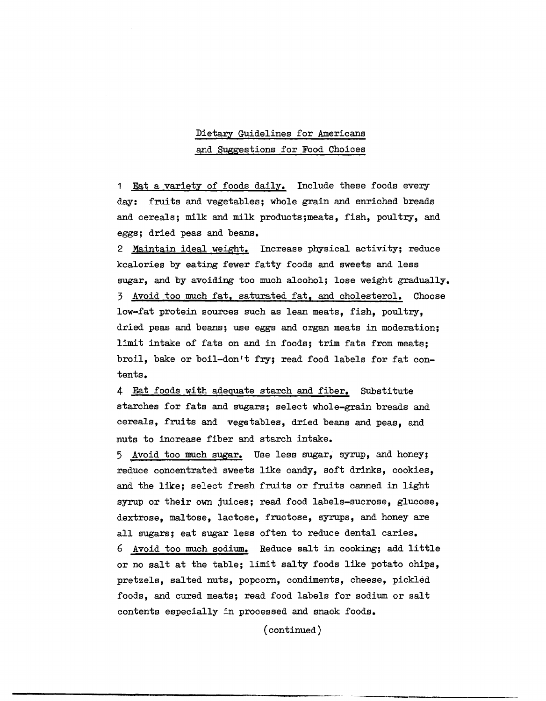# Dietary Guidelines for Americans and SUggestions for Food Choices

1 Eat a variety of foods daily. Include these foods every day: fruits and vegetables; whole grain and enriched breads and cereals; milk and milk products;meats, fish, poultry, and eggs; dried peas and beans.

2 Maintain ideal weight. Increase physical activity; reduce kcalories by eating fewer fatty foods and sweets and less sugar, and by avoiding too much alcohol; lose weight gradually. 3 Avoid too much fat, saturated fat, and cholesterol. Choose low-fat protein sources such as lean meats, fish, poultry, dried peas and beans; use eggs and organ meats in moderation; limit intake of fats on and in foods; trim fats from meats; broil, bake or boil-don't fry; read food labels for fat contents.

4 Eat foods with adequate starch and fiber. Substitute starches for fats and sugars; select whole-grain breads and cereals, fruits and vegetables, dried beans and peas, and nuts to increase fiber and starch intake.

5 Avoid too much sugar. Use less sugar, syrup, and honey; reduce concentrated sweets like candy, soft drinks, cookies, and the like; select fresh fruits or fruits canned in light syrup or their own juices; read food labels-sucrose, glucose, dextrose, maltose, lactose, fructose, syrups, and honey are all sugars; eat sugar less often to reduce dental caries. 6 Avoid too much sodium. Reduce salt in cooking; add little or no salt at the table; limit salty foods like potato chips, pretzels, salted nuts, popcorn, condiments, cheese, pickled foods, and cured meats; read food labels for sodium or salt contents especially in processed and snack foods.

(continued)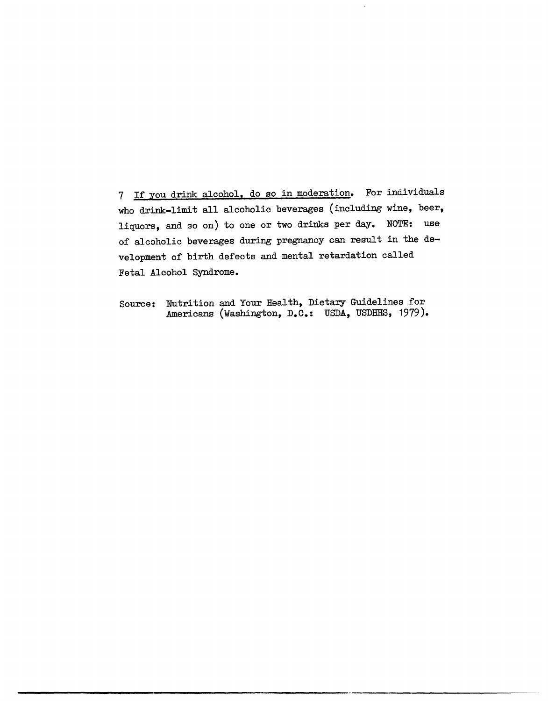7 If you drink alcohol, do so in moderation. For individuals who drink-limit all alcoholic beverages (including wine, beer, liquors, and so on) to one or two drinks per day. NOTE: use of alcoholic beverages during pregnancy can result in the development of birth defects and mental retardation called Fetal Alcohol Syndrome.

Source: Nutrition and Your Health, Dietary Guidelines for Americans (Washington, D.C.: USDA, USDHHS, 1979).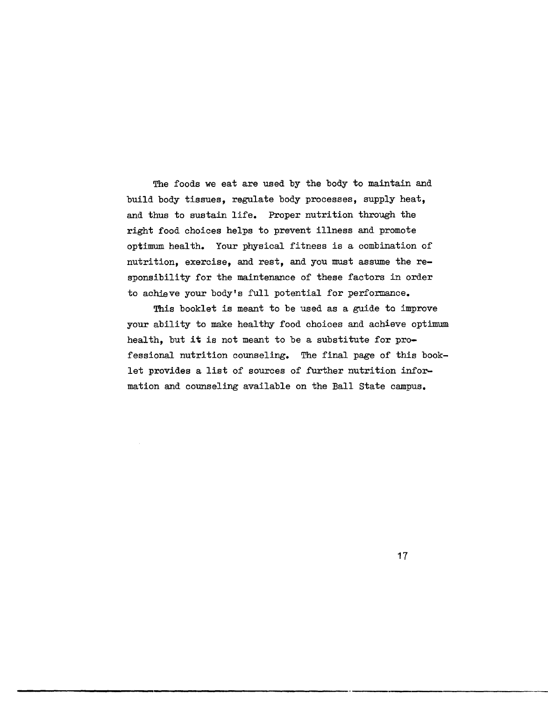The foods we eat are used by the body to maintain and build body tissues, regulate body processes, supply heat, and thus to sustain life. Proper nutrition through the right food choices helps to prevent illness and promote optimum health. Your physical fitness is a combination of nutrition, exercise, and rest, and you must assume the responsibility for the maintenance of these factors in order to achieve your body's full potential for performance.

This booklet is meant to be used as a guide to improve your ability to make healthy food choices and achieve optimum health, but it is not meant to be a substitute for professional nutrition counseling. The final page of this booklet provides a list of sources of further nutrition information and counseling available on the Ball state campus.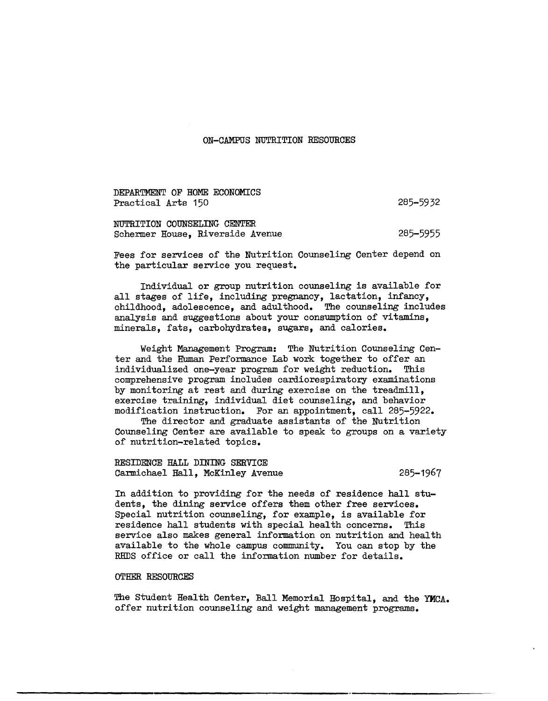## ON-CAMPUS NUTRITION RESOURCES

DEPARTMENT OF HOME ECONOMICS Practical Arts 150

285-5932

NUTRITION COUNSELING CENTER Schermer House, Riverside Avenue 285-5955

Fees for services of the Nutrition Counseling Center depend on the particular service you request.

Individual or group nutrition counseling is available for all stages of life, including pregnancy, lactation, infancy, childhood, adolescence, and adulthood. The counseling includes analysis and suggestions about your consumption of vitamins, minerals, fats, carbohydrates, sugars, and calories.

Weight Management Program: The Nutrition Counseling Center and the Human Performance Lab work together to offer an individualized one-year program for weight reduction. This comprehensive program includes cardiorespiratory examinations by monitoring at rest and during exercise on the treadmill, exercise training, individual diet counseling, and behavior modification instruction. For an appointment, call 285-5922.

The director and graduate assistants of the Nutrition Counseling Center are available to speak to groups on a variety of nutrition-related topics.

RESIDENCE HALL DINING SERVICE Carmichael Hall, McKinley Avenue 285-1967

In addition to providing for the needs of residence hall students, the dining service offers them other free services. Special nutrition counseling, for example, is available for residence hall students with special health concerns. This service also makes general information on nutrition and health available to the whole campus community. You can stop by the REDS office or call the information number for details.

#### OTHER RESOURCES

The Student Health Center, Ball Memorial Hospital, and the YMCA. offer nutrition counseling and weight management programs.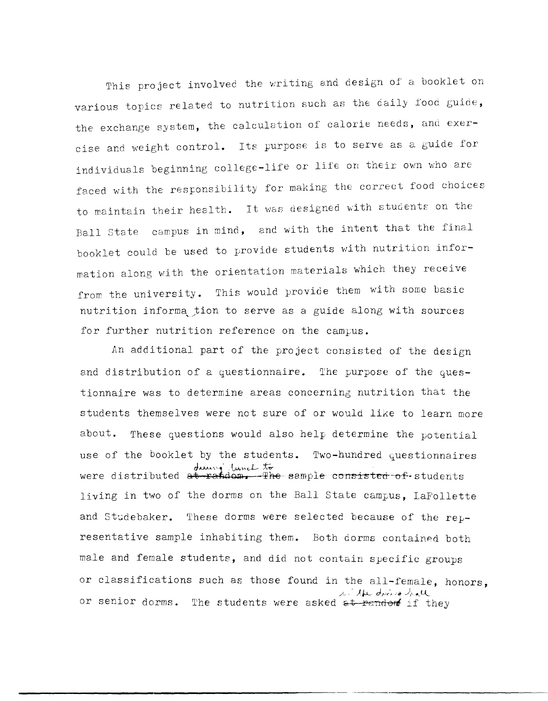This project involved the writing and design of a booklet on various topics related to nutrition such as the daily food guide, the exchange system, the calculation of calorie needs, and exercise and weight control. Its purpose is to serve as a guide for individuals beginning college-life or lite on their *own* who are faced with the responsibility for making the correct food choices to maintain their health. It was designed with students on the Ball State campus in mind, and with the intent that the final booklet could be used to provide students with nutrition information along with the orientation materials which they receive from the university. This would provide them with some basic nutrition informa tion to serve as a guide along with sources for further nutrition reference on the campus.

An additional part of the project consisted of the design and distribution of a questionnaire. The purpose of the questionnaire was to determine areas concerning nutrition that the students themselves were not sure of or would like to learn more about. These questions would also help determine the potential use of the booklet by the students. Two-hundred questionnaires during limit to distributed at **Fandom,** The semple consisted of students living in two of the dorms on the Ball state campus, laFollette and Studebaker. These dorms were selected because of the representative sample inhabiting them. Both dorms contained both male and female students, and did not contain specific groups or classifications such as those found in the all-female, honors, w. the division hall or senior dorms. The students were asked at random if they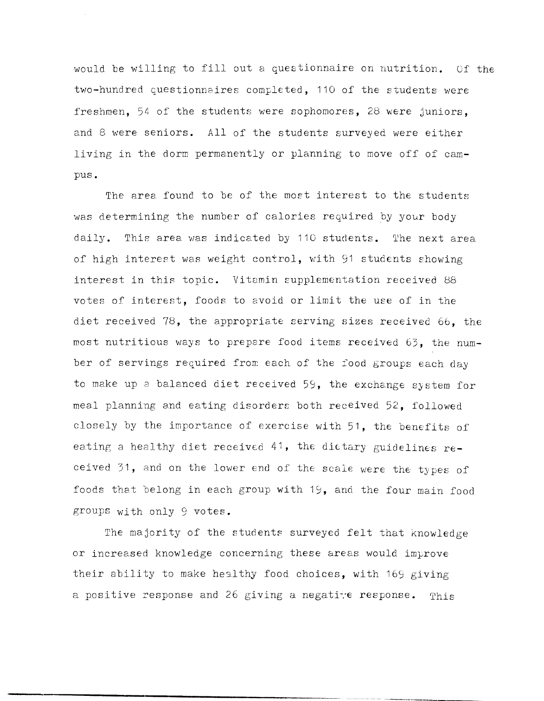would be willing to fill out a questionnaire on nutrition. Of the two-hundred questionnaires completed, 110 of the students were freshmen, 54 of the students were sophomores, 28 were juniors, and 8 were seniors. All of the students surveyed were either living in the dorm permanently or planning to move off of campus.

The area found to be of the most interest to the students was determining the number of calories required by your body daily. This area was indicated by 110 students. The next area of high interest was weight control, with 91 students showing interest in this topic. Vitamin supplementation received <sup>88</sup> votes of interest, foods to evoid or limit the use of in the diet received 78, the appropriate serving sizes received 66, the most nutritious ways to prepare food items received 63, the number of servings required from each of the food groups each day to make up a balanced diet received 59, the exchange system for meal planning and eating disorders both received 52, followed closely by the importance of exercise with 51, the benefits of eating a healthy diet received 41, the dietary guidelines received 31, and on the lower end of the scale were the types of foods that belong in each group with 19, and the four main food groups with only 9 votes.

The majority of the students surveyed felt that knowledge or increased knowledge concerning these areas would improve their ability to make healthy food choices, with 169 giving a positive response and 26 giving a negative response. This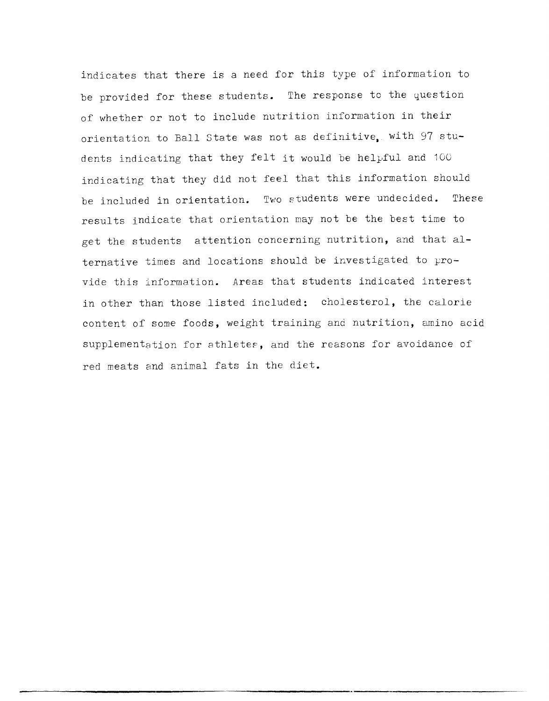indicates that there is a need for this type of information to be provided for these students. The response to the question of whether or not to include nutrition information in their orientation to Ball State was not as definitive. with 97 students indicating that they felt it would be helpful and 100 indicating that they did not feel that this information should be included in orientation. Two Etudents were undecided. These results indicate that orientation may not be the best time to get the students attention concerning nutrition, and that alternative times and locations should be investigated to provide this information. Areas that students indicated interest in other than those listed included: cholesterol, the calorie content of some foods, weight training and nutrition, amino acid supplementation for athletes, and the reasons for avoidance of red meats and animal fats in the diet.